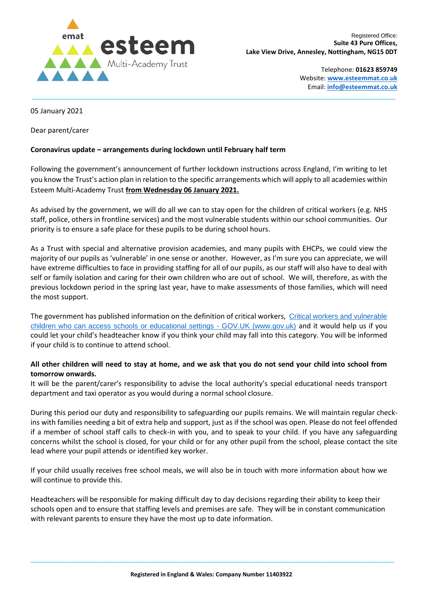

Telephone: **01623 859749** Website: **[www.esteemmat.co.uk](http://www.esteemmat.co.uk/)** Email: **[info@esteemmat.co.uk](mailto:info@esteemmat.co.uk)**

05 January 2021

Dear parent/carer

## **Coronavirus update – arrangements during lockdown until February half term**

Following the government's announcement of further lockdown instructions across England, I'm writing to let you know the Trust's action plan in relation to the specific arrangements which will apply to all academies within Esteem Multi-Academy Trust **from Wednesday 06 January 2021.**

 $\_$  , and the state of the state of the state of the state of the state of the state of the state of the state of the state of the state of the state of the state of the state of the state of the state of the state of the

As advised by the government, we will do all we can to stay open for the children of critical workers (e.g. NHS staff, police, others in frontline services) and the most vulnerable students within our school communities. Our priority is to ensure a safe place for these pupils to be during school hours.

As a Trust with special and alternative provision academies, and many pupils with EHCPs, we could view the majority of our pupils as 'vulnerable' in one sense or another. However, as I'm sure you can appreciate, we will have extreme difficulties to face in providing staffing for all of our pupils, as our staff will also have to deal with self or family isolation and caring for their own children who are out of school. We will, therefore, as with the previous lockdown period in the spring last year, have to make assessments of those families, which will need the most support.

The government has published information on the definition of critical workers, [Critical workers and vulnerable](https://www.gov.uk/government/publications/coronavirus-covid-19-maintaining-educational-provision/guidance-for-schools-colleges-and-local-authorities-on-maintaining-educational-provision)  children who can access [schools or educational settings -](https://www.gov.uk/government/publications/coronavirus-covid-19-maintaining-educational-provision/guidance-for-schools-colleges-and-local-authorities-on-maintaining-educational-provision) GOV.UK (www.gov.uk) and it would help us if you could let your child's headteacher know if you think your child may fall into this category. You will be informed if your child is to continue to attend school.

## **All other children will need to stay at home, and we ask that you do not send your child into school from tomorrow onwards.**

It will be the parent/carer's responsibility to advise the local authority's special educational needs transport department and taxi operator as you would during a normal school closure.

During this period our duty and responsibility to safeguarding our pupils remains. We will maintain regular checkins with families needing a bit of extra help and support, just as if the school was open. Please do not feel offended if a member of school staff calls to check-in with you, and to speak to your child. If you have any safeguarding concerns whilst the school is closed, for your child or for any other pupil from the school, please contact the site lead where your pupil attends or identified key worker.

If your child usually receives free school meals, we will also be in touch with more information about how we will continue to provide this.

Headteachers will be responsible for making difficult day to day decisions regarding their ability to keep their schools open and to ensure that staffing levels and premises are safe. They will be in constant communication with relevant parents to ensure they have the most up to date information.

 $\_$  ,  $\_$  ,  $\_$  ,  $\_$  ,  $\_$  ,  $\_$  ,  $\_$  ,  $\_$  ,  $\_$  ,  $\_$  ,  $\_$  ,  $\_$  ,  $\_$  ,  $\_$  ,  $\_$  ,  $\_$  ,  $\_$  ,  $\_$  ,  $\_$  ,  $\_$  ,  $\_$  ,  $\_$  ,  $\_$  ,  $\_$  ,  $\_$  ,  $\_$  ,  $\_$  ,  $\_$  ,  $\_$  ,  $\_$  ,  $\_$  ,  $\_$  ,  $\_$  ,  $\_$  ,  $\_$  ,  $\_$  ,  $\_$  ,